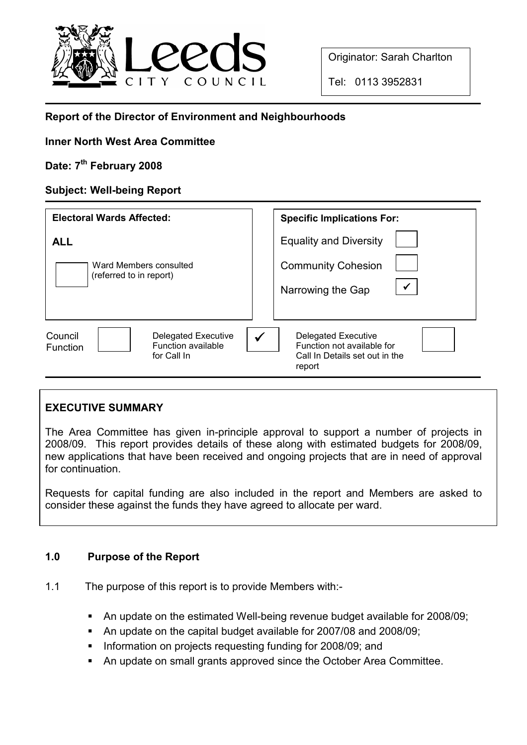

Originator: Sarah Charlton

Tel: 0113 3952831

# Report of the Director of Environment and Neighbourhoods

# Inner North West Area Committee

# Date: 7<sup>th</sup> February 2008

# Subject: Well-being Report

| <b>Electoral Wards Affected:</b>                                                              | <b>Specific Implications For:</b>                                                                             |
|-----------------------------------------------------------------------------------------------|---------------------------------------------------------------------------------------------------------------|
| <b>ALL</b>                                                                                    | <b>Equality and Diversity</b>                                                                                 |
| Ward Members consulted<br>(referred to in report)                                             | <b>Community Cohesion</b><br>$\checkmark$<br>Narrowing the Gap                                                |
| <b>Delegated Executive</b><br>Council<br>Function available<br><b>Function</b><br>for Call In | Delegated Executive<br>$\checkmark$<br>Function not available for<br>Call In Details set out in the<br>report |

# EXECUTIVE SUMMARY

The Area Committee has given in-principle approval to support a number of projects in 2008/09. This report provides details of these along with estimated budgets for 2008/09, new applications that have been received and ongoing projects that are in need of approval for continuation.

Requests for capital funding are also included in the report and Members are asked to consider these against the funds they have agreed to allocate per ward.

# 1.0 Purpose of the Report

- 1.1 The purpose of this report is to provide Members with:-
	- § An update on the estimated Well-being revenue budget available for 2008/09;
	- § An update on the capital budget available for 2007/08 and 2008/09;
	- § Information on projects requesting funding for 2008/09; and
	- An update on small grants approved since the October Area Committee.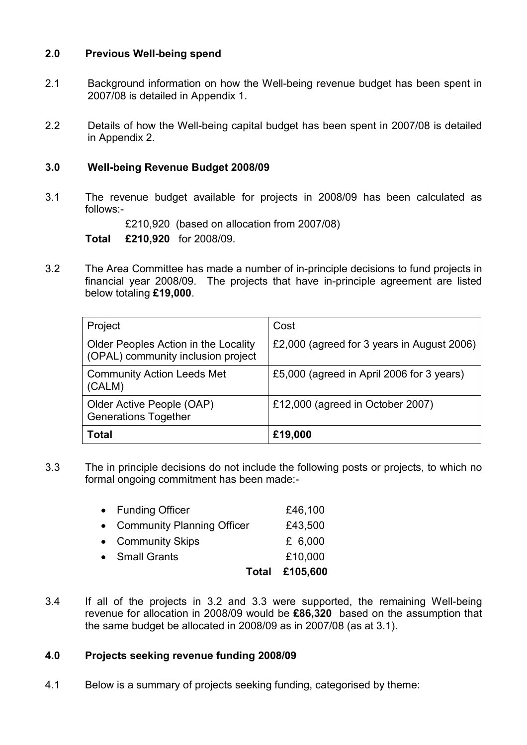# 2.0 Previous Well-being spend

- 2.1 Background information on how the Well-being revenue budget has been spent in 2007/08 is detailed in Appendix 1.
- 2.2 Details of how the Well-being capital budget has been spent in 2007/08 is detailed in Appendix 2.

# 3.0 Well-being Revenue Budget 2008/09

3.1 The revenue budget available for projects in 2008/09 has been calculated as follows:-

£210,920 (based on allocation from 2007/08)

Total £210,920 for 2008/09.

3.2 The Area Committee has made a number of in-principle decisions to fund projects in financial year 2008/09. The projects that have in-principle agreement are listed below totaling £19,000.

| Project                                                                    | Cost                                       |
|----------------------------------------------------------------------------|--------------------------------------------|
| Older Peoples Action in the Locality<br>(OPAL) community inclusion project | £2,000 (agreed for 3 years in August 2006) |
| <b>Community Action Leeds Met</b><br>(CALM)                                | £5,000 (agreed in April 2006 for 3 years)  |
| Older Active People (OAP)<br><b>Generations Together</b>                   | £12,000 (agreed in October 2007)           |
| Total                                                                      | £19,000                                    |

3.3 The in principle decisions do not include the following posts or projects, to which no formal ongoing commitment has been made:-

|                              | Total £105,600 |
|------------------------------|----------------|
| • Small Grants               | £10,000        |
| • Community Skips            | £ $6,000$      |
| • Community Planning Officer | £43,500        |
| • Funding Officer            | £46,100        |

3.4 If all of the projects in 3.2 and 3.3 were supported, the remaining Well-being revenue for allocation in 2008/09 would be £86,320 based on the assumption that the same budget be allocated in 2008/09 as in 2007/08 (as at 3.1).

#### 4.0 Projects seeking revenue funding 2008/09

4.1 Below is a summary of projects seeking funding, categorised by theme: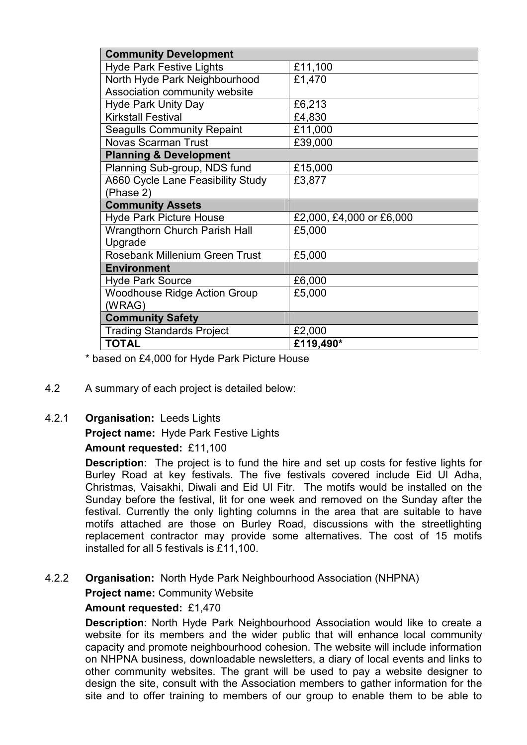| <b>Community Development</b>         |                          |  |
|--------------------------------------|--------------------------|--|
| <b>Hyde Park Festive Lights</b>      | £11,100                  |  |
| North Hyde Park Neighbourhood        | £1,470                   |  |
| Association community website        |                          |  |
| <b>Hyde Park Unity Day</b>           | £6,213                   |  |
| <b>Kirkstall Festival</b>            | £4,830                   |  |
| <b>Seagulls Community Repaint</b>    | £11,000                  |  |
| <b>Novas Scarman Trust</b>           | £39,000                  |  |
| <b>Planning &amp; Development</b>    |                          |  |
| Planning Sub-group, NDS fund         | £15,000                  |  |
| A660 Cycle Lane Feasibility Study    | £3,877                   |  |
| (Phase 2)                            |                          |  |
| <b>Community Assets</b>              |                          |  |
| <b>Hyde Park Picture House</b>       | £2,000, £4,000 or £6,000 |  |
| <b>Wrangthorn Church Parish Hall</b> | £5,000                   |  |
| Upgrade                              |                          |  |
|                                      |                          |  |
| Rosebank Millenium Green Trust       | £5,000                   |  |
| <b>Environment</b>                   |                          |  |
| <b>Hyde Park Source</b>              | £6,000                   |  |
| <b>Woodhouse Ridge Action Group</b>  | £5,000                   |  |
| (WRAG)                               |                          |  |
| <b>Community Safety</b>              |                          |  |
| <b>Trading Standards Project</b>     | £2,000                   |  |

\* based on £4,000 for Hyde Park Picture House

4.2 A summary of each project is detailed below:

#### 4.2.1 Organisation: Leeds Lights

Project name: Hyde Park Festive Lights

#### Amount requested: £11,100

Description: The project is to fund the hire and set up costs for festive lights for Burley Road at key festivals. The five festivals covered include Eid Ul Adha, Christmas, Vaisakhi, Diwali and Eid Ul Fitr. The motifs would be installed on the Sunday before the festival, lit for one week and removed on the Sunday after the festival. Currently the only lighting columns in the area that are suitable to have motifs attached are those on Burley Road, discussions with the streetlighting replacement contractor may provide some alternatives. The cost of 15 motifs installed for all 5 festivals is £11,100.

# 4.2.2 Organisation: North Hyde Park Neighbourhood Association (NHPNA)

**Project name: Community Website** 

#### Amount requested: £1,470

Description: North Hyde Park Neighbourhood Association would like to create a website for its members and the wider public that will enhance local community capacity and promote neighbourhood cohesion. The website will include information on NHPNA business, downloadable newsletters, a diary of local events and links to other community websites. The grant will be used to pay a website designer to design the site, consult with the Association members to gather information for the site and to offer training to members of our group to enable them to be able to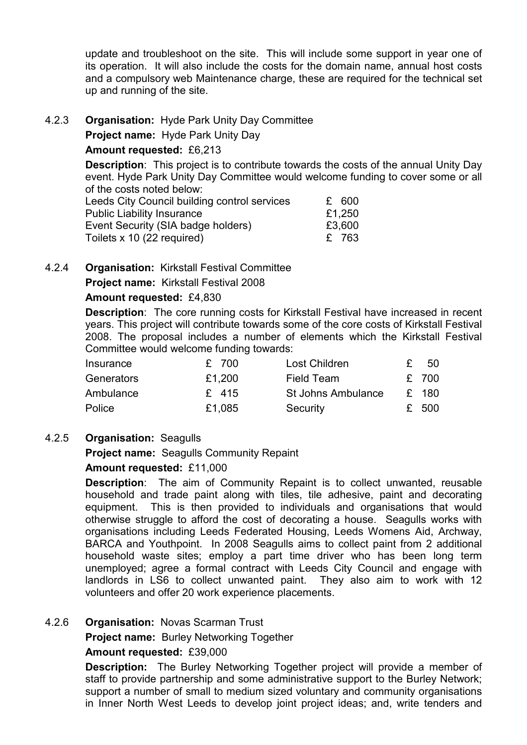update and troubleshoot on the site. This will include some support in year one of its operation. It will also include the costs for the domain name, annual host costs and a compulsory web Maintenance charge, these are required for the technical set up and running of the site.

4.2.3 Organisation: Hyde Park Unity Day Committee

Project name: Hyde Park Unity Day

# Amount requested: £6,213

Description: This project is to contribute towards the costs of the annual Unity Day event. Hyde Park Unity Day Committee would welcome funding to cover some or all of the costs noted below:

| Leeds City Council building control services | £ 600  |
|----------------------------------------------|--------|
| <b>Public Liability Insurance</b>            | £1,250 |
| Event Security (SIA badge holders)           | £3,600 |
| Toilets x 10 (22 required)                   | £ 763  |

# 4.2.4 Organisation: Kirkstall Festival Committee

Project name: Kirkstall Festival 2008

# Amount requested: £4,830

Description: The core running costs for Kirkstall Festival have increased in recent years. This project will contribute towards some of the core costs of Kirkstall Festival 2008. The proposal includes a number of elements which the Kirkstall Festival Committee would welcome funding towards:

| Insurance  | £ 700   | Lost Children      | -50   |
|------------|---------|--------------------|-------|
| Generators | £1,200  | Field Team         | £ 700 |
| Ambulance  | $£$ 415 | St Johns Ambulance | £ 180 |
| Police     | £1,085  | Security           | £500  |

# 4.2.5 Organisation: Seagulls

Project name: Seagulls Community Repaint

# Amount requested: £11,000

Description: The aim of Community Repaint is to collect unwanted, reusable household and trade paint along with tiles, tile adhesive, paint and decorating equipment. This is then provided to individuals and organisations that would otherwise struggle to afford the cost of decorating a house. Seagulls works with organisations including Leeds Federated Housing, Leeds Womens Aid, Archway, BARCA and Youthpoint. In 2008 Seagulls aims to collect paint from 2 additional household waste sites; employ a part time driver who has been long term unemployed; agree a formal contract with Leeds City Council and engage with landlords in LS6 to collect unwanted paint. They also aim to work with 12 volunteers and offer 20 work experience placements.

# 4.2.6 Organisation: Novas Scarman Trust

Project name: Burley Networking Together

#### Amount requested: £39,000

Description: The Burley Networking Together project will provide a member of staff to provide partnership and some administrative support to the Burley Network; support a number of small to medium sized voluntary and community organisations in Inner North West Leeds to develop joint project ideas; and, write tenders and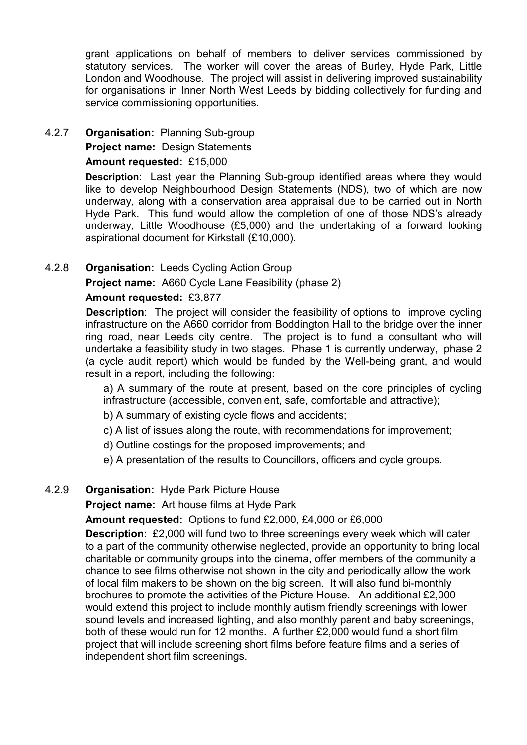grant applications on behalf of members to deliver services commissioned by statutory services. The worker will cover the areas of Burley, Hyde Park, Little London and Woodhouse. The project will assist in delivering improved sustainability for organisations in Inner North West Leeds by bidding collectively for funding and service commissioning opportunities.

4.2.7 Organisation: Planning Sub-group

# Project name: Design Statements

#### Amount requested: £15,000

Description: Last year the Planning Sub-group identified areas where they would like to develop Neighbourhood Design Statements (NDS), two of which are now underway, along with a conservation area appraisal due to be carried out in North Hyde Park. This fund would allow the completion of one of those NDS's already underway, Little Woodhouse (£5,000) and the undertaking of a forward looking aspirational document for Kirkstall (£10,000).

# 4.2.8 Organisation: Leeds Cycling Action Group

Project name: A660 Cycle Lane Feasibility (phase 2)

# Amount requested: £3,877

**Description:** The project will consider the feasibility of options to improve cycling infrastructure on the A660 corridor from Boddington Hall to the bridge over the inner ring road, near Leeds city centre. The project is to fund a consultant who will undertake a feasibility study in two stages. Phase 1 is currently underway, phase 2 (a cycle audit report) which would be funded by the Well-being grant, and would result in a report, including the following:

a) A summary of the route at present, based on the core principles of cycling infrastructure (accessible, convenient, safe, comfortable and attractive);

b) A summary of existing cycle flows and accidents;

- c) A list of issues along the route, with recommendations for improvement;
- d) Outline costings for the proposed improvements; and

e) A presentation of the results to Councillors, officers and cycle groups.

# 4.2.9 Organisation: Hyde Park Picture House

Project name: Art house films at Hyde Park

Amount requested: Options to fund £2,000, £4,000 or £6,000

Description: £2,000 will fund two to three screenings every week which will cater to a part of the community otherwise neglected, provide an opportunity to bring local charitable or community groups into the cinema, offer members of the community a chance to see films otherwise not shown in the city and periodically allow the work of local film makers to be shown on the big screen. It will also fund bi-monthly brochures to promote the activities of the Picture House. An additional £2,000 would extend this project to include monthly autism friendly screenings with lower sound levels and increased lighting, and also monthly parent and baby screenings, both of these would run for 12 months. A further £2,000 would fund a short film project that will include screening short films before feature films and a series of independent short film screenings.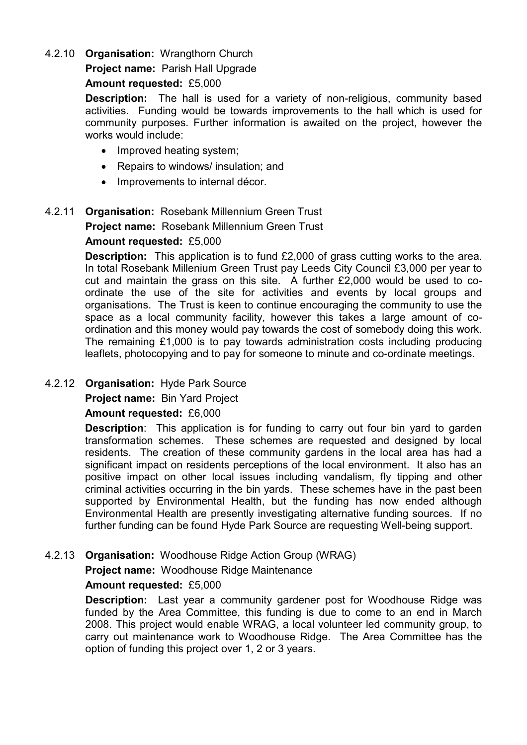#### 4.2.10 Organisation: Wrangthorn Church

# Project name: Parish Hall Upgrade

#### Amount requested: £5,000

Description: The hall is used for a variety of non-religious, community based activities. Funding would be towards improvements to the hall which is used for community purposes. Further information is awaited on the project, however the works would include:

- Improved heating system;
- Repairs to windows/ insulation; and
- Improvements to internal décor.

# 4.2.11 Organisation: Rosebank Millennium Green Trust

Project name: Rosebank Millennium Green Trust

#### Amount requested: £5,000

Description: This application is to fund £2,000 of grass cutting works to the area. In total Rosebank Millenium Green Trust pay Leeds City Council £3,000 per year to cut and maintain the grass on this site. A further £2,000 would be used to coordinate the use of the site for activities and events by local groups and organisations. The Trust is keen to continue encouraging the community to use the space as a local community facility, however this takes a large amount of coordination and this money would pay towards the cost of somebody doing this work. The remaining £1,000 is to pay towards administration costs including producing leaflets, photocopying and to pay for someone to minute and co-ordinate meetings.

#### 4.2.12 Organisation: Hyde Park Source

Project name: Bin Yard Project

#### Amount requested: £6,000

**Description:** This application is for funding to carry out four bin yard to garden transformation schemes. These schemes are requested and designed by local residents. The creation of these community gardens in the local area has had a significant impact on residents perceptions of the local environment. It also has an positive impact on other local issues including vandalism, fly tipping and other criminal activities occurring in the bin yards. These schemes have in the past been supported by Environmental Health, but the funding has now ended although Environmental Health are presently investigating alternative funding sources. If no further funding can be found Hyde Park Source are requesting Well-being support.

# 4.2.13 Organisation: Woodhouse Ridge Action Group (WRAG)

Project name: Woodhouse Ridge Maintenance

#### Amount requested: £5,000

Description: Last year a community gardener post for Woodhouse Ridge was funded by the Area Committee, this funding is due to come to an end in March 2008. This project would enable WRAG, a local volunteer led community group, to carry out maintenance work to Woodhouse Ridge. The Area Committee has the option of funding this project over 1, 2 or 3 years.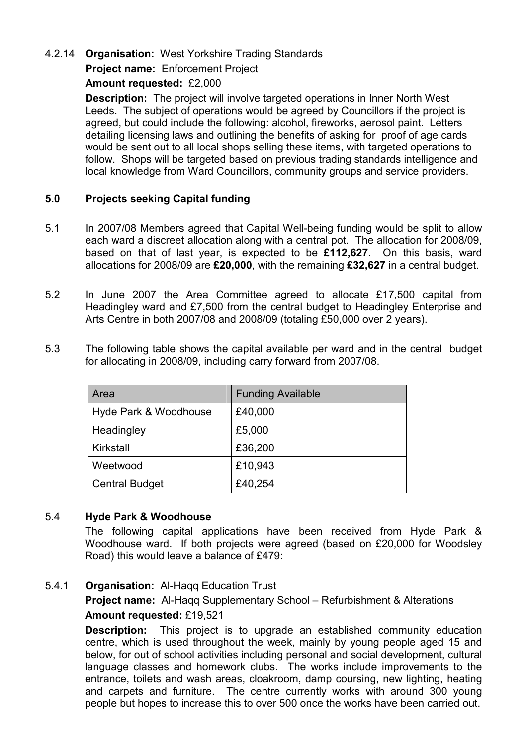# 4.2.14 Organisation: West Yorkshire Trading Standards

# Project name: Enforcement Project

#### Amount requested: £2,000

Description: The project will involve targeted operations in Inner North West Leeds. The subject of operations would be agreed by Councillors if the project is agreed, but could include the following: alcohol, fireworks, aerosol paint. Letters detailing licensing laws and outlining the benefits of asking for proof of age cards would be sent out to all local shops selling these items, with targeted operations to follow. Shops will be targeted based on previous trading standards intelligence and local knowledge from Ward Councillors, community groups and service providers.

# 5.0 Projects seeking Capital funding

- 5.1 In 2007/08 Members agreed that Capital Well-being funding would be split to allow each ward a discreet allocation along with a central pot. The allocation for 2008/09, based on that of last year, is expected to be £112,627. On this basis, ward allocations for 2008/09 are £20,000, with the remaining £32,627 in a central budget.
- 5.2 In June 2007 the Area Committee agreed to allocate £17,500 capital from Headingley ward and £7,500 from the central budget to Headingley Enterprise and Arts Centre in both 2007/08 and 2008/09 (totaling £50,000 over 2 years).
- 5.3 The following table shows the capital available per ward and in the central budget for allocating in 2008/09, including carry forward from 2007/08.

| Area                  | <b>Funding Available</b> |
|-----------------------|--------------------------|
| Hyde Park & Woodhouse | £40,000                  |
| Headingley            | £5,000                   |
| Kirkstall             | £36,200                  |
| Weetwood              | £10,943                  |
| <b>Central Budget</b> | £40,254                  |

#### 5.4 Hyde Park & Woodhouse

 The following capital applications have been received from Hyde Park & Woodhouse ward. If both projects were agreed (based on £20,000 for Woodsley Road) this would leave a balance of £479:

#### 5.4.1 **Organisation:** Al-Hagg Education Trust

Project name: Al-Haqq Supplementary School – Refurbishment & Alterations Amount requested: £19,521

**Description:** This project is to upgrade an established community education centre, which is used throughout the week, mainly by young people aged 15 and below, for out of school activities including personal and social development, cultural language classes and homework clubs. The works include improvements to the entrance, toilets and wash areas, cloakroom, damp coursing, new lighting, heating and carpets and furniture. The centre currently works with around 300 young people but hopes to increase this to over 500 once the works have been carried out.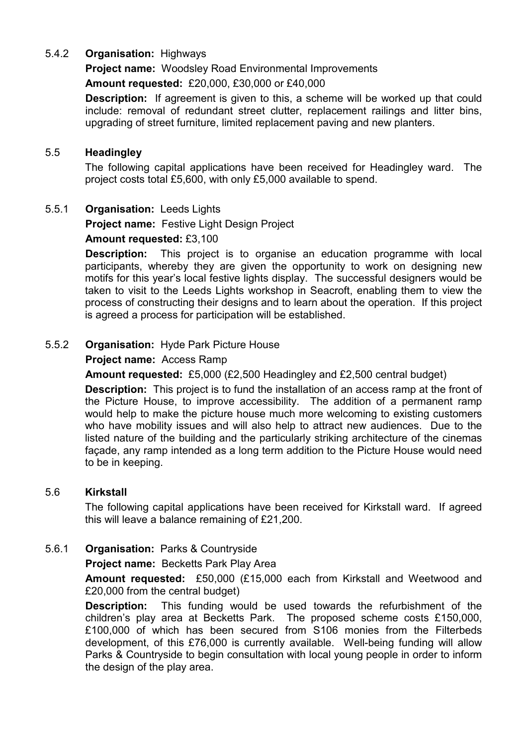# 5.4.2 Organisation: Highways

Project name: Woodsley Road Environmental Improvements

Amount requested: £20,000, £30,000 or £40,000

Description: If agreement is given to this, a scheme will be worked up that could include: removal of redundant street clutter, replacement railings and litter bins, upgrading of street furniture, limited replacement paving and new planters.

#### 5.5 Headingley

 The following capital applications have been received for Headingley ward. The project costs total £5,600, with only £5,000 available to spend.

# 5.5.1 Organisation: Leeds Lights

Project name: Festive Light Design Project

# Amount requested: £3,100

**Description:** This project is to organise an education programme with local participants, whereby they are given the opportunity to work on designing new motifs for this year's local festive lights display. The successful designers would be taken to visit to the Leeds Lights workshop in Seacroft, enabling them to view the process of constructing their designs and to learn about the operation. If this project is agreed a process for participation will be established.

# 5.5.2 Organisation: Hyde Park Picture House

# Project name: Access Ramp

Amount requested: £5,000 (£2,500 Headingley and £2,500 central budget)

**Description:** This project is to fund the installation of an access ramp at the front of the Picture House, to improve accessibility. The addition of a permanent ramp would help to make the picture house much more welcoming to existing customers who have mobility issues and will also help to attract new audiences. Due to the listed nature of the building and the particularly striking architecture of the cinemas façade, any ramp intended as a long term addition to the Picture House would need to be in keeping.

#### 5.6 Kirkstall

 The following capital applications have been received for Kirkstall ward. If agreed this will leave a balance remaining of £21,200.

# 5.6.1 Organisation: Parks & Countryside

#### Project name: Becketts Park Play Area

Amount requested: £50,000 (£15,000 each from Kirkstall and Weetwood and £20,000 from the central budget)

Description: This funding would be used towards the refurbishment of the children's play area at Becketts Park. The proposed scheme costs £150,000, £100,000 of which has been secured from S106 monies from the Filterbeds development, of this £76,000 is currently available. Well-being funding will allow Parks & Countryside to begin consultation with local young people in order to inform the design of the play area.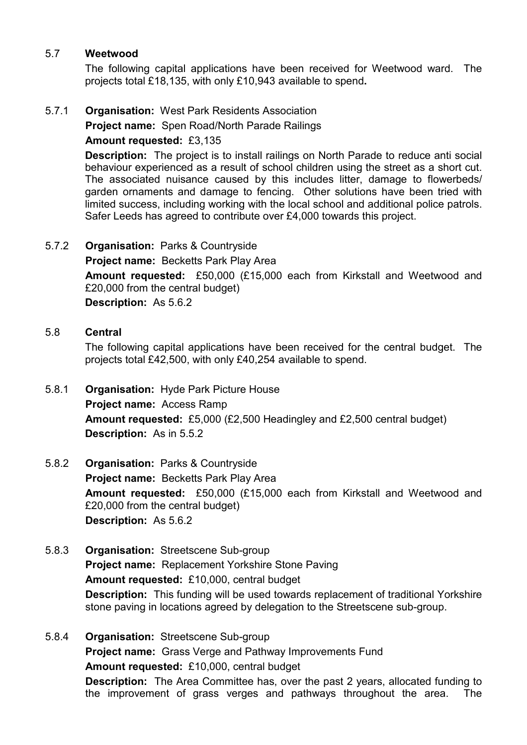#### 5.7 Weetwood

 The following capital applications have been received for Weetwood ward. The projects total £18,135, with only £10,943 available to spend.

# 5.7.1 Organisation: West Park Residents Association

Project name: Spen Road/North Parade Railings

# Amount requested: £3,135

Description: The project is to install railings on North Parade to reduce anti social behaviour experienced as a result of school children using the street as a short cut. The associated nuisance caused by this includes litter, damage to flowerbeds/ garden ornaments and damage to fencing. Other solutions have been tried with limited success, including working with the local school and additional police patrols. Safer Leeds has agreed to contribute over £4,000 towards this project.

# 5.7.2 Organisation: Parks & Countryside

# Project name: Becketts Park Play Area

Amount requested: £50,000 (£15,000 each from Kirkstall and Weetwood and £20,000 from the central budget)

Description: As 5.6.2

# 5.8 Central

 The following capital applications have been received for the central budget. The projects total £42,500, with only £40,254 available to spend.

- 5.8.1 Organisation: Hyde Park Picture House Project name: Access Ramp Amount requested: £5,000 (£2,500 Headingley and £2,500 central budget) Description: As in 5.5.2
- 5.8.2 Organisation: Parks & Countryside Project name: Becketts Park Play Area Amount requested: £50,000 (£15,000 each from Kirkstall and Weetwood and £20,000 from the central budget) Description: As 5.6.2
- 5.8.3 Organisation: Streetscene Sub-group Project name: Replacement Yorkshire Stone Paving Amount requested: £10,000, central budget Description: This funding will be used towards replacement of traditional Yorkshire stone paving in locations agreed by delegation to the Streetscene sub-group.
- 5.8.4 Organisation: Streetscene Sub-group Project name: Grass Verge and Pathway Improvements Fund Amount requested: £10,000, central budget Description: The Area Committee has, over the past 2 years, allocated funding to the improvement of grass verges and pathways throughout the area. The